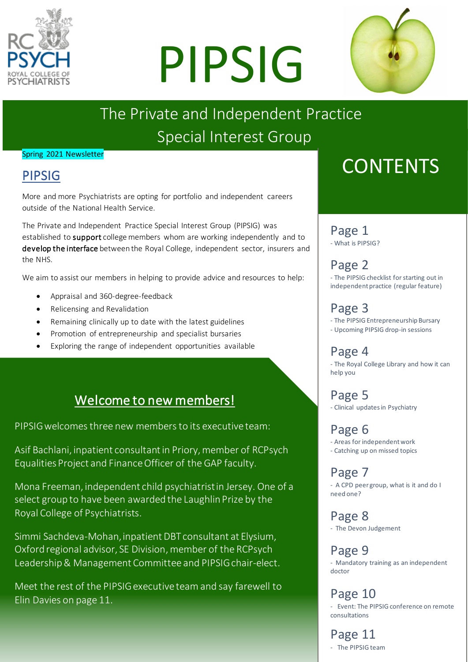

# PIPSIG



## The Private and Independent Practice Special Interest Group

#### Spring 2021 Newsletter

## PIPSIG

More and more Psychiatrists are opting for portfolio and independent careers outside of the National Health Service.

The Private and Independent Practice Special Interest Group (PIPSIG) was established to support college members whom are working independently and to develop the interface between the Royal College, independent sector, insurers and the NHS.

We aim to assist our members in helping to provide advice and resources to help:

- Appraisal and 360-degree-feedback
- Relicensing and Revalidation
- Remaining clinically up to date with the latest guidelines
- Promotion of entrepreneurship and specialist bursaries
- Exploring the range of independent opportunities available

## Welcome to new members!

PIPSIG welcomes three new members to its executive team:

Asif Bachlani, inpatient consultant in Priory, member of RCPsych Equalities Project and Finance Officer of the GAP faculty.

Mona Freeman, independent child psychiatrist in Jersey. One of a select group to have been awarded the Laughlin Prize by the Royal College of Psychiatrists.

Simmi Sachdeva-Mohan, inpatient DBT consultant at Elysium, Oxford regional advisor, SE Division, member of the RCPsych Leadership & Management Committee and PIPSIG chair-elect.

Meet the rest of the PIPSIG executive team and say farewell to Elin Davies on page 11.

## **CONTENTS**

### Page 1

- What is PIPSIG?

Page 2 - The PIPSIG checklist for starting out in independent practice (regular feature)

## Page 3

- The PIPSIG Entrepreneurship Bursary - Upcoming PIPSIG drop-in sessions

## Page 4

- The Royal College Library and how it can help you

Page 5 - Clinical updates in Psychiatry

Page 6 - Areas for independent work - Catching up on missed topics

Page 7 - A CPD peer group, what is it and do I need one?

Page 8 - The Devon Judgement

Page 9 - Mandatory training as an independent doctor

Page 10 - Event: The PIPSIG conference on remote consultations

#### Page 11

- The PIPSIG team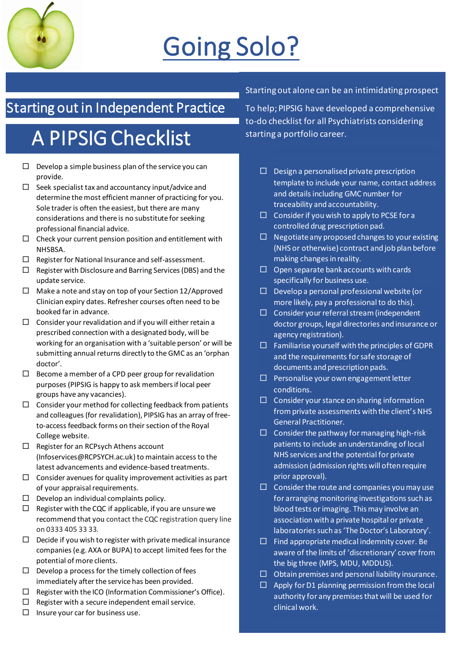

## Going Solo?

## Starting out in Independent Practice

## A PIPSIG Checklist

- $\square$  Develop a simple business plan of the service you can provide.
- $\square$  Seek specialist tax and accountancy input/advice and determine the most efficient manner of practicing for you. Sole trader is often the easiest, but there are many considerations and there is no substitute for seeking professional financial advice.
- $\Box$  Check your current pension position and entitlement with NHSBSA.
- $\Box$  Register for National Insurance and self-assessment.
- $\Box$  Register with Disclosure and Barring Services (DBS) and the update service.
- $\Box$  Make a note and stay on top of your Section 12/Approved Clinician expiry dates. Refresher courses often need to be booked far in advance.
- $\Box$  Consider your revalidation and if you will either retain a prescribed connection with a designated body, will be working for an organisation with a 'suitable person' or will be submitting annual returns directly to the GMC as an 'orphan doctor'.
- $\Box$  Become a member of a CPD peer group for revalidation purposes (PIPSIG is happy to ask members if local peer groups have any vacancies).
- $\Box$  Consider your method for collecting feedback from patients and colleagues (for revalidation), PIPSIG has an array of freeto-access feedback forms on their section of the Royal College website.
- $\Box$  Register for an RCPsych Athens account [\(Infoservices@RCPSYCH.ac.uk\)](mailto:Infoservices@RCPSYCH.ac.uk) to maintain access to the latest advancements and evidence-based treatments.
- $\Box$  Consider avenues for quality improvement activities as part of your appraisal requirements.
- $\square$  Develop an individual complaints policy.
- $\Box$  Register with the CQC if applicable, if you are unsure we recommend that you contact the CQC registration query line on 0333 405 33 33.
- $\square$  Decide if you wish to register with private medical insurance companies (e.g. AXA or BUPA) to accept limited fees for the potential of more clients.
- $\square$  Develop a process for the timely collection of fees immediately after the service has been provided.
- $\Box$  Register with the ICO (Information Commissioner's Office).
- $\Box$  Register with a secure independent email service.
- $\Box$  Insure your car for business use.

#### Starting out alone can be an intimidating prospect

To help; PIPSIG have developed a comprehensive to-do checklist for all Psychiatrists considering starting a portfolio career.

- $\square$  Design a personalised private prescription template to include your name, contact address and details including GMC number for traceability and accountability.
- $\Box$  Consider if you wish to apply to PCSE for a controlled drug prescription pad.
- $\Box$  Negotiate any proposed changes to your existing (NHS or otherwise) contract and job plan before making changes in reality.
- $\Box$  Open separate bank accounts with cards specifically for business use.
- $\square$  Develop a personal professional website (or more likely, pay a professional to do this).
- $\square$  Consider your referral stream (independent doctor groups, legal directories and insurance or agency registration).
- $\Box$  Familiarise yourself with the principles of GDPR and the requirements for safe storage of documents and prescription pads.
- $\Box$  Personalise your own engagement letter conditions.
- $\Box$  Consider your stance on sharing information from private assessments with the client's NHS General Practitioner.
- $\Box$  Consider the pathway for managing high-risk patients to include an understanding of local NHS services and the potential for private admission (admission rights will often require prior approval).
- $\Box$  Consider the route and companies you may use for arranging monitoring investigations such as blood tests or imaging. This may involve an association with a private hospital or private laboratories such as 'The Doctor's Laboratory'.
- $\Box$  Find appropriate medical indemnity cover. Be aware of the limits of 'discretionary' cover from the big three (MPS, MDU, MDDUS).
- $\Box$  Obtain premises and personal liability insurance.
- $\Box$  Apply for D1 planning permission from the local authority for any premises that will be used for clinical work.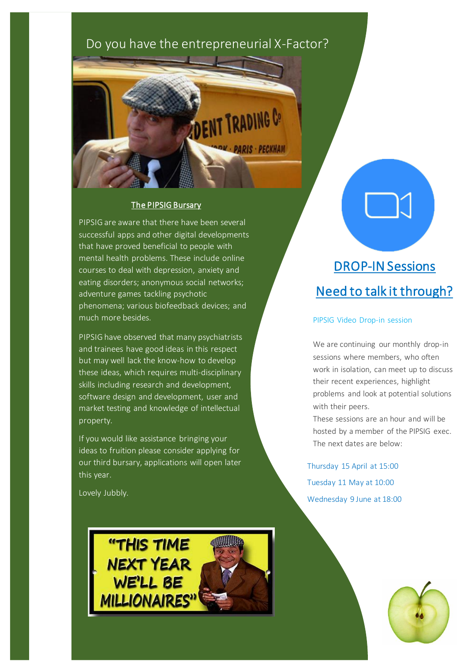## Do you have the entrepreneurial X-Factor?

**ENT TRADING Co** 

**PARIS · PECKHAM** 

#### The PIPSIG Bursary

PIPSIG are aware that there have been several successful apps and other digital developments that have proved beneficial to people with mental health problems. These include online courses to deal with depression, anxiety and eating disorders; anonymous social networks; adventure games tackling psychotic phenomena; various biofeedback devices; and much more besides.

PIPSIG have observed that many psychiatrists and trainees have good ideas in this respect but may well lack the know-how to develop these ideas, which requires multi-disciplinary skills including research and development, software design and development, user and market testing and knowledge of intellectual property.

If you would like assistance bringing your ideas to fruition please consider applying for our third bursary, applications will open later this year.

Lovely Jubbly.



## DROP-IN Sessions Need to talk it through?

#### PIPSIG Video Drop-in session

We are continuing our monthly drop-in sessions where members, who often work in isolation, can meet up to discuss their recent experiences, highlight problems and look at potential solutions with their peers.

These sessions are an hour and will be hosted by a member of the PIPSIG exec. The next dates are below:

Thursday 15 April at 15:00 Tuesday 11 May at 10:00 Wednesday 9 June at 18:00

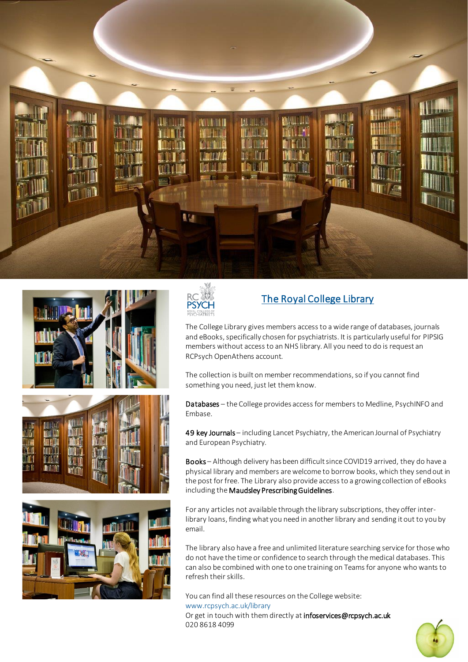





### The Royal College Library

The College Library gives members access to a wide range of databases, journals and eBooks, specifically chosen for psychiatrists. It is particularly useful for PIPSIG members without access to an NHS library. All you need to do is request an RCPsych OpenAthens account.

The collection is built on member recommendations, so if you cannot find something you need, just let them know.

Databases – the College provides access for members to Medline, PsychINFO and Embase.

49 key Journals - including Lancet Psychiatry, the American Journal of Psychiatry and European Psychiatry.

Books – Although delivery has been difficult since COVID19 arrived, they do have a physical library and members are welcome to borrow books, which they send out in the post for free. The Library also provide access to a growing collection of eBooks including the Maudsley Prescribing Guidelines.

For any articles not available through the library subscriptions, they offer interlibrary loans, finding what you need in another library and sending it out to you by email.

The library also have a free and unlimited literature searching service for those who do not have the time or confidence to search through the medical databases. This can also be combined with one to one training on Teams for anyone who wants to refresh their skills.

You can find all these resources on the College website: [www.rcpsych.ac.uk/library](http://www.rcpsych.ac.uk/library) Or get in touch with them directly a[t infoservices@rcpsych.ac.uk](mailto:infoservices@rcpsych.ac.uk) 020 8618 4099

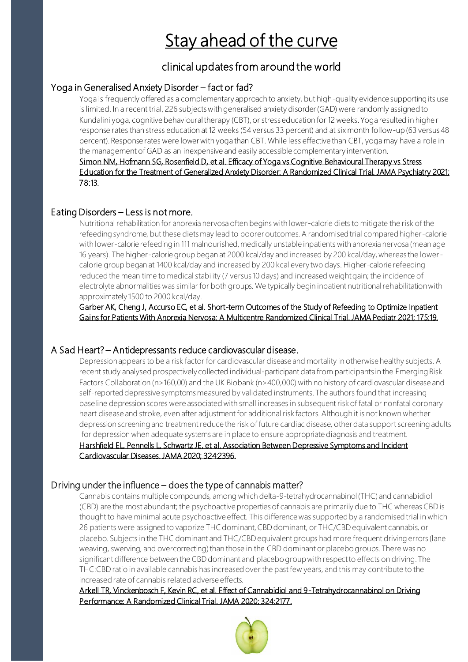#### ٦ Stay ahead of the curve

### clinical updates from around the world

#### Yoga in Generalised Anxiety Disorder – fact or fad?

 is limited. In a recent trial, 226 subjects with generalised anxiety disorder (GAD) were randomly assigned to Kundalini yoga, cognitive behavioural therapy (CBT), or stress education for 12 weeks. Yoga resulted in highe r percent). Response rates were lower with yoga than CBT. While less effective than CBT, yoga may have a role in [Simon NM, Hofmann SG, Rosenfield D, et al. Efficacy of Yoga vs Cognitive Behavioural Therapy vs Stress](https://www.uptodate.com/contents/whats-new-in-psychiatry/abstract/1)  [Education for the Treatment of Generalized Anxiety Disorder: A Randomized Clinical Trial. JAMA Psychiatry 2021;](https://www.uptodate.com/contents/whats-new-in-psychiatry/abstract/1)  Yoga is frequently offered as a complementary approach to anxiety, but high-quality evidence supporting its use response rates than stress education at 12 weeks (54 versus 33 percent) and at six month follow-up (63 versus 48 the management of GAD as an inexpensive and easily accessible complementary intervention. [78:13.](https://www.uptodate.com/contents/whats-new-in-psychiatry/abstract/1)

#### Eating Disorders – Less is not more.

 Nutritional rehabilitation for anorexia nervosa often begins with lower-calorie diets to mitigate the risk of the with lower-calorie refeeding in 111 malnourished, medically unstable inpatients with anorexia nervosa (mean age calorie group began at 1400 kcal/day and increased by 200 kcal every two days. Higher-calorie refeeding electrolyte abnormalities was similar for both groups. We typically begin inpatient nutritional rehabilitation with refeeding syndrome, but these diets may lead to poorer outcomes. A randomised trial compared higher-calorie 16 years). The higher-calorie group began at 2000 kcal/day and increased by 200 kcal/day, whereas the lowerreduced the mean time to medical stability (7 versus 10 days) and increased weight gain; the incidence of approximately 1500 to 2000 kcal/day.

 [Gains for Patients With Anorexia Nervosa: A Multicentre Randomized Clinical Trial. JAMA Pediatr 2021; 175:19.](https://www.uptodate.com/contents/whats-new-in-psychiatry/abstract/6)  [Garber AK, Cheng J, Accurso EC, et al. Short-term Outcomes of the Study of Refeeding to Optimize Inpatient](https://www.uptodate.com/contents/whats-new-in-psychiatry/abstract/6) 

#### A Sad Heart? – Antidepressants reduce cardiovascular disease.

 recent study analysed prospectively collected individual-participant data from participants in the Emerging Risk Factors Collaboration (n>160,00) and the UK Biobank (n>400,000) with no history of cardiovascular disease and baseline depression scores were associated with small increases in subsequent risk of fatal or nonfatal coronary depression screening and treatment reduce the risk of future cardiac disease, other data support screening adults for depression when adequate systems are in place to ensure appropriate diagnosis and treatment. Depression appears to be a risk factor for cardiovascular disease and mortality in otherwise healthy subjects. A self-reported depressive symptoms measured by validated instruments. The authors found that increasing heart disease and stroke, even after adjustment for additional risk factors. Although it is not known whether [Harshfield EL, Pennells L, Schwartz JE, et al. Association Between Depressive Symptoms and Incident](https://www.uptodate.com/contents/whats-new-in-psychiatry/abstract/7) 

#### [Cardiovascular Diseases. JAMA 2020; 324:2396.](https://www.uptodate.com/contents/whats-new-in-psychiatry/abstract/7)

#### Driving under the influence – does the type of cannabis matter?

 Cannabis contains multiple compounds, among which delta-9-tetrahydrocannabinol (THC) and cannabidiol (CBD) are the most abundant; the psychoactive properties of cannabis are primarily due to THC whereas CBD is 26 patients were assigned to vaporize THC dominant, CBD dominant, or THC/CBD equivalent cannabis, or weaving, swerving, and overcorrecting) than those in the CBD dominant or placebo groups. There was no significant difference between the CBD dominant and placebo group with respect to effects on driving. The increased rate of cannabis related adverse effects. thought to have minimal acute psychoactive effect. This difference was supported by a randomised trial in which placebo. Subjects in the THC dominant and THC/CBD equivalent groups had more frequent driving errors (lane THC:CBD ratio in available cannabis has increased over the past few years, and this may contribute to the

#### [Performance: A Randomized Clinical Trial. JAMA 2020; 324:2177.](https://www.uptodate.com/contents/whats-new-in-psychiatry/abstract/10) [Arkell TR, Vinckenbosch F, Kevin RC, et al. Effect of Cannabidiol and 9-Tetrahydrocannabinol on Driving](https://www.uptodate.com/contents/whats-new-in-psychiatry/abstract/10)

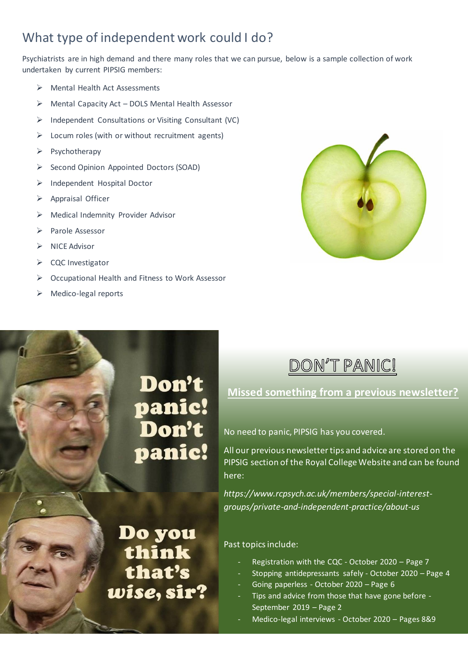## What type of independent work could I do?

Psychiatrists are in high demand and there many roles that we can pursue, below is a sample collection of work undertaken by current PIPSIG members:

- ➢ Mental Health Act Assessments
- $\triangleright$  Mental Capacity Act DOLS Mental Health Assessor
- ➢ Independent Consultations or Visiting Consultant (VC)
- $\triangleright$  Locum roles (with or without recruitment agents)
- ➢ Psychotherapy
- ➢ Second Opinion Appointed Doctors (SOAD)
- ➢ Independent Hospital Doctor
- ➢ Appraisal Officer
- ➢ Medical Indemnity Provider Advisor
- ➢ Parole Assessor
- ➢ NICE Advisor
- ➢ CQC Investigator
- ➢ Occupational Health and Fitness to Work Assessor
- ➢ Medico-legal reports



## Don't panic!<br>Don't panic!

Do you<br>think

that's

wise, sir?

## DON'T PANIC!

**Missed something from a previous newsletter?**

No need to panic, PIPSIG has you covered.

All our previous newsletter tips and advice are stored on the PIPSIG section of the Royal College Website and can be found here:

*[https://www.rcpsych.ac.uk/members/special-interest](https://www.rcpsych.ac.uk/members/special-interest-groups/private-and-independent-practice/about-us)[groups/private-and-independent-practice/about-us](https://www.rcpsych.ac.uk/members/special-interest-groups/private-and-independent-practice/about-us)*

#### Past topics include:

- Registration with the CQC October 2020 Page 7
- Stopping antidepressants safely October 2020 Page 4
- Going paperless October 2020 Page 6
- Tips and advice from those that have gone before -September 2019 – Page 2
- Medico-legal interviews October 2020 Pages 8&9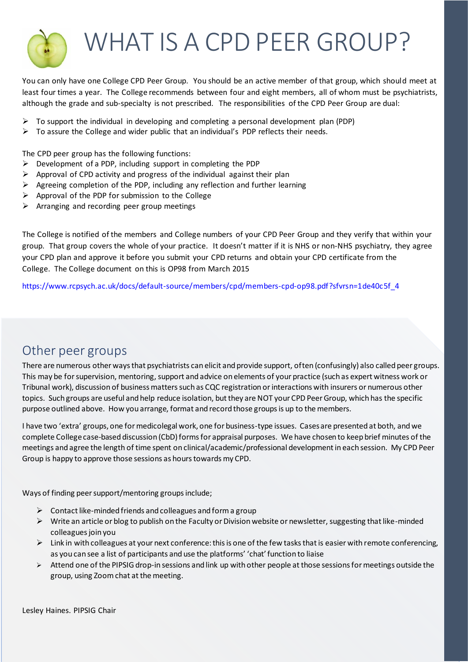

## WHAT IS A CPD PEER GROUP?

You can only have one College CPD Peer Group. You should be an active member of that group, which should meet at least four times a year. The College recommends between four and eight members, all of whom must be psychiatrists, although the grade and sub-specialty is not prescribed. The responsibilities of the CPD Peer Group are dual:

- ➢ To support the individual in developing and completing a personal development plan (PDP)
- $\triangleright$  To assure the College and wider public that an individual's PDP reflects their needs.

The CPD peer group has the following functions:

- ➢ Development of a PDP, including support in completing the PDP
- $\triangleright$  Approval of CPD activity and progress of the individual against their plan
- $\triangleright$  Agreeing completion of the PDP, including any reflection and further learning
- ➢ Approval of the PDP for submission to the College
- $\triangleright$  Arranging and recording peer group meetings

The College is notified of the members and College numbers of your CPD Peer Group and they verify that within your group. That group covers the whole of your practice. It doesn't matter if it is NHS or non-NHS psychiatry, they agree your CPD plan and approve it before you submit your CPD returns and obtain your CPD certificate from the College. The College document on this is OP98 from March 2015

[https://www.rcpsych.ac.uk/docs/default-source/members/cpd/members-cpd-op98.pdf?sfvrsn=1de40c5f\\_4](https://www.rcpsych.ac.uk/docs/default-source/members/cpd/members-cpd-op98.pdf?sfvrsn=1de40c5f_4)

### Other peer groups

There are numerous other ways that psychiatrists can elicit and provide support, often (confusingly) also called peer groups. This may be for supervision, mentoring, support and advice on elements of your practice (such as expert witness work or Tribunal work), discussion of business matters such as CQC registration or interactions with insurers or numerous other topics. Such groups are useful and help reduce isolation, but they are NOT your CPD Peer Group, which has the specific purpose outlined above. How you arrange, format and record those groups is up to the members.

I have two 'extra' groups, one for medicolegal work, one for business-type issues. Cases are presented at both, and we complete College case-based discussion (CbD) forms for appraisal purposes. We have chosen to keep brief minutes of the meetings and agree the length of time spent on clinical/academic/professional development in each session. My CPD Peer Group is happy to approve those sessions as hours towards my CPD.

Ways of finding peer support/mentoring groups include;

- $\triangleright$  Contact like-minded friends and colleagues and form a group
- ➢ Write an article or blog to publish on the Faculty or Division website or newsletter, suggesting that like-minded colleagues join you
- $\triangleright$  Link in with colleagues at your next conference: this is one of the few tasks that is easier with remote conferencing, as you can see a list of participants and use the platforms' 'chat' function to liaise
- $\triangleright$  Attend one of the PIPSIG drop-in sessions and link up with other people at those sessions for meetings outside the group, using Zoom chat at the meeting.

Lesley Haines. PIPSIG Chair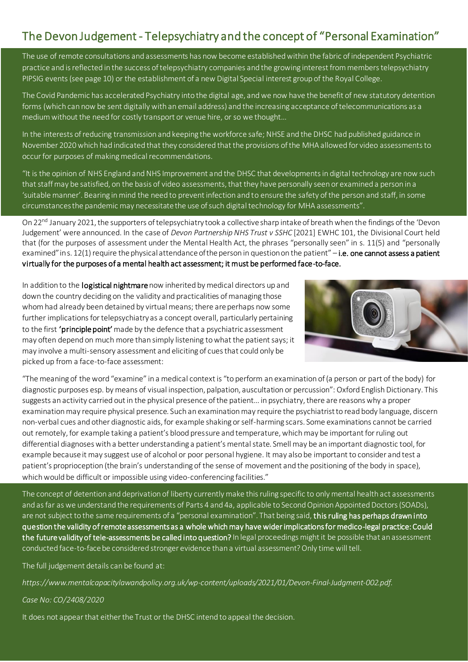### The Devon Judgement - Telepsychiatry and the concept of "Personal Examination"

The use of remote consultations and assessments has now become established within the fabric of independent Psychiatric practice and is reflected in the success of telepsychiatry companies and the growing interest from members telepsychiatry PIPSIG events (see page 10) or the establishment of a new Digital Special interest group of the Royal College.

The Covid Pandemic has accelerated Psychiatry into the digital age, and we now have the benefit of new statutory detention forms (which can now be sent digitally with an email address) and the increasing acceptance of telecommunications as a medium without the need for costly transport or venue hire, or so we thought…

In the interests of reducing transmission and keeping the workforce safe; NHSE and the DHSC had published guidance in November 2020 which had indicated that they considered that the provisions of the MHA allowed for video assessments to occur for purposes of making medical recommendations.

"It is the opinion of NHS England and NHS Improvement and the DHSC that developments in digital technology are now such that staff may be satisfied, on the basis of video assessments, that they have personally seen or examined a person in a 'suitable manner'. Bearing in mind the need to prevent infection and to ensure the safety of the person and staff, in some circumstances the pandemic may necessitate the use of such digital technology for MHA assessments".

On 22<sup>nd</sup> January 2021, the supporters of telepsychiatry took a collective sharp intake of breath when the findings of the 'Devon Judgement' were announced. In the case of *Devon Partnership NHS Trust v SSHC* [2021] EWHC 101, the Divisional Court held that (for the purposes of assessment under the Mental Health Act, the phrases "personally seen" in s. 11(5) and "personally examined" ins. 12(1) require the physical attendance of the person in question on the patient" – i.e. one cannot assess a patient virtually for the purposes of a mental health act assessment; it must be performed face-to-face.

In addition to the logistical nightmare now inherited by medical directors up and down the country deciding on the validity and practicalities of managing those whom had already been detained by virtual means; there are perhaps now some further implications for telepsychiatry as a concept overall, particularly pertaining to the first 'principle point' made by the defence that a psychiatric assessment may often depend on much more than simply listening to what the patient says; it may involve a multi-sensory assessment and eliciting of cues that could only be picked up from a face-to-face assessment:



"The meaning of the word "examine" in a medical context is "to perform an examination of (a person or part of the body) for diagnostic purposes esp. by means of visual inspection, palpation, auscultation or percussion": Oxford English Dictionary. This suggests an activity carried out in the physical presence of the patient… in psychiatry, there are reasons why a proper examination may require physical presence. Such an examination may require the psychiatrist to read body language, discern non-verbal cues and other diagnostic aids, for example shaking or self-harming scars. Some examinations cannot be carried out remotely, for example taking a patient's blood pressure and temperature, which may be important for ruling out differential diagnoses with a better understanding a patient's mental state. Smell may be an important diagnostic tool, for example because it may suggest use of alcohol or poor personal hygiene. It may also be important to consider and test a patient's proprioception (the brain's understanding of the sense of movement and the positioning of the body in space), which would be difficult or impossible using video-conferencing facilities."

The concept of detention and deprivation of liberty currently make this ruling specific to only mental health act assessments and as far as we understand the requirements of Parts 4 and 4a, applicable to Second Opinion Appointed Doctors (SOADs), are not subject to the same requirements of a "personal examination". That being said, this ruling has perhaps drawn into question the validity of remote assessments as a whole which may have wider implications for medico-legal practice: Could the future validity of tele-assessments be called into question? In legal proceedings might it be possible that an assessment conducted face-to-face be considered stronger evidence than a virtual assessment? Only time will tell.

The full judgement details can be found at:

*[https://www.mentalcapacitylawandpolicy.org.uk/wp-content/uploads/2021/01/Devon-Final-Judgment-002.pdf.](https://www.mentalcapacitylawandpolicy.org.uk/wp-content/uploads/2021/01/Devon-Final-Judgment-002.pdf)* 

#### *Case No: CO/2408/2020*

It does not appear that either the Trust or the DHSC intend to appeal the decision.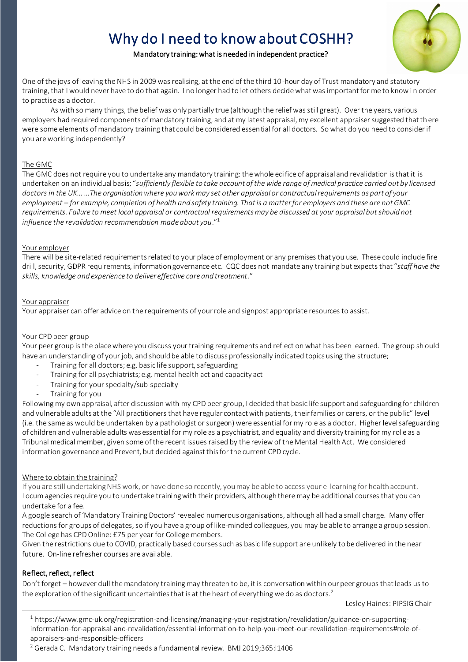## Why do I need to know about COSHH?



#### Mandatory training: what is needed in independent practice?

One of the joys of leaving the NHS in 2009 was realising, at the end of the third 10-hour day of Trust mandatory and statutory training, that I would never have to do that again. I no longer had to let others decide what was important for me to know in order to practise as a doctor.

As with so many things, the belief was only partially true (although the relief was still great). Over the years, various employers had required components of mandatory training, and at my latest appraisal, my excellent appraiser suggested that there were some elements of mandatory training that could be considered essential for all doctors. So what do you need to consider if you are working independently?

#### The GMC

The GMC does not require you to undertake any mandatory training: the whole edifice of appraisal and revalidation is that it is undertaken on an individual basis; "*sufficiently flexible to take account of the wide range of medical practice carried out by licensed doctors in the UK…*…*The organisation where you work may set other appraisal or contractual requirements as part of your employment – for example, completion of health and safety training. That is a matter for employers and these are not GMC requirements. Failure to meet local appraisal or contractual requirements may be discussed at your appraisal but should not influence the revalidation recommendation made about you*."<sup>1</sup>

#### Your employer

There will be site-related requirements related to your place of employment or any premises that you use. These could include fire drill, security, GDPR requirements, information governance etc. CQC does not mandate any training but expects that "*staff have the skills, knowledge and experience to deliver effective care and treatment*."

#### Your appraiser

Your appraiser can offer advice on the requirements of your role and signpost appropriate resources to assist.

#### Your CPD peer group

Your peer group is the place where you discuss your training requirements and reflect on what has been learned. The group sh ould have an understanding of your job, and should be able to discuss professionally indicated topics using the structure;

- Training for all doctors; e.g. basic life support, safeguarding
- Training for all psychiatrists; e.g. mental health act and capacity act
- Training for your specialty/sub-specialty
- Training for you

Following my own appraisal, after discussion with my CPD peer group, I decided that basic life support and safeguarding for children and vulnerable adults at the "All practitioners that have regular contact with patients, their families or carers, or the pub lic" level (i.e. the same as would be undertaken by a pathologist or surgeon) were essential for my role as a doctor. Higher level safeguarding of children and vulnerable adults was essential for my role as a psychiatrist, and equality and diversity training for my rol e as a Tribunal medical member, given some of the recent issues raised by the review of the Mental Health Act. We considered information governance and Prevent, but decided against this for the current CPD cycle.

#### Where to obtain the training?

If you are still undertaking NHS work, or have done so recently, you may be able to access your e-learning for health account. Locum agencies require you to undertake training with their providers, although there may be additional courses that you can undertake for a fee.

A google search of 'Mandatory Training Doctors' revealed numerous organisations, although all had a small charge. Many offer reductions for groups of delegates, so if you have a group of like-minded colleagues, you may be able to arrange a group session. The College has CPD Online: £75 per year for College members.

Given the restrictions due to COVID, practically based courses such as basic life support are unlikely to be delivered in the near future. On-line refresher courses are available.

#### Reflect, reflect, reflect

Don't forget – however dull the mandatory training may threaten to be, it is conversation within our peer groups that leads us to the exploration of the significant uncertainties that is at the heart of everything we do as doctors.<sup>2</sup>

Lesley Haines: PIPSIG Chair

<sup>1</sup> [https://www.gmc-uk.org/registration-and-licensing/managing-your-registration/revalidation/guidance-on-supporting](https://www.gmc-uk.org/registration-and-licensing/managing-your-registration/revalidation/guidance-on-supporting-information-for-appraisal-and-revalidation/essential-information-to-help-you-meet-our-revalidation-requirements#role-of-appraisers-and-responsible-officers)[information-for-appraisal-and-revalidation/essential-information-to-help-you-meet-our-revalidation-requirements#role-of](https://www.gmc-uk.org/registration-and-licensing/managing-your-registration/revalidation/guidance-on-supporting-information-for-appraisal-and-revalidation/essential-information-to-help-you-meet-our-revalidation-requirements#role-of-appraisers-and-responsible-officers)[appraisers-and-responsible-officers](https://www.gmc-uk.org/registration-and-licensing/managing-your-registration/revalidation/guidance-on-supporting-information-for-appraisal-and-revalidation/essential-information-to-help-you-meet-our-revalidation-requirements#role-of-appraisers-and-responsible-officers)

<sup>&</sup>lt;sup>2</sup> Gerada C. Mandatory training needs a fundamental review. BMJ 2019;365:11406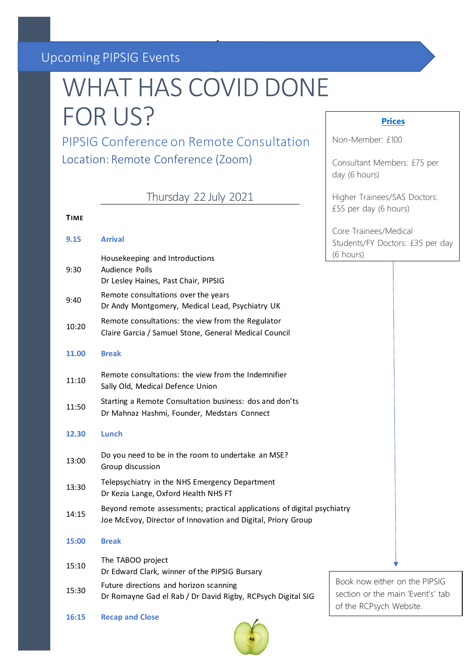## Upcoming PIPSIG Events

## WHAT HAS COVID DONE FOR US?

**Prices**

Consultant Members: £75 per

Higher Trainees/SAS Doctors:

£55 per day (6 hours)

Non-Member: £100

day (6 hours)

PIPSIG Conference on Remote Consultation Location: Remote Conference (Zoom)

Thursday 22 July 2021

#### **TIME**

| 9.15  | <b>Arrival</b>                                                                                                                          | Core Trainees/Medical<br>Students/FY Doctors: £35 per day                                     |
|-------|-----------------------------------------------------------------------------------------------------------------------------------------|-----------------------------------------------------------------------------------------------|
| 9:30  | Housekeeping and Introductions<br>Audience Polls<br>Dr Lesley Haines, Past Chair, PIPSIG                                                | (6 hours)                                                                                     |
| 9:40  | Remote consultations over the years<br>Dr Andy Montgomery, Medical Lead, Psychiatry UK                                                  |                                                                                               |
| 10:20 | Remote consultations: the view from the Regulator<br>Claire Garcia / Samuel Stone, General Medical Council                              |                                                                                               |
| 11.00 | <b>Break</b>                                                                                                                            |                                                                                               |
| 11:10 | Remote consultations: the view from the Indemnifier<br>Sally Old, Medical Defence Union                                                 |                                                                                               |
| 11:50 | Starting a Remote Consultation business: dos and don'ts<br>Dr Mahnaz Hashmi, Founder, Medstars Connect                                  |                                                                                               |
| 12.30 | Lunch                                                                                                                                   |                                                                                               |
| 13:00 | Do you need to be in the room to undertake an MSE?<br>Group discussion                                                                  |                                                                                               |
| 13:30 | Telepsychiatry in the NHS Emergency Department<br>Dr Kezia Lange, Oxford Health NHS FT                                                  |                                                                                               |
| 14:15 | Beyond remote assessments; practical applications of digital psychiatry<br>Joe McEvoy, Director of Innovation and Digital, Priory Group |                                                                                               |
| 15:00 | <b>Break</b>                                                                                                                            |                                                                                               |
| 15:10 | The TABOO project<br>Dr Edward Clark, winner of the PIPSIG Bursary                                                                      |                                                                                               |
| 15:30 | Future directions and horizon scanning<br>Dr Romayne Gad el Rab / Dr David Rigby, RCPsych Digital SIG                                   | Book now either on the PIPSIG<br>section or the main 'Event's' tab<br>of the RCPsych Website. |

**16:15 Recap and Close**